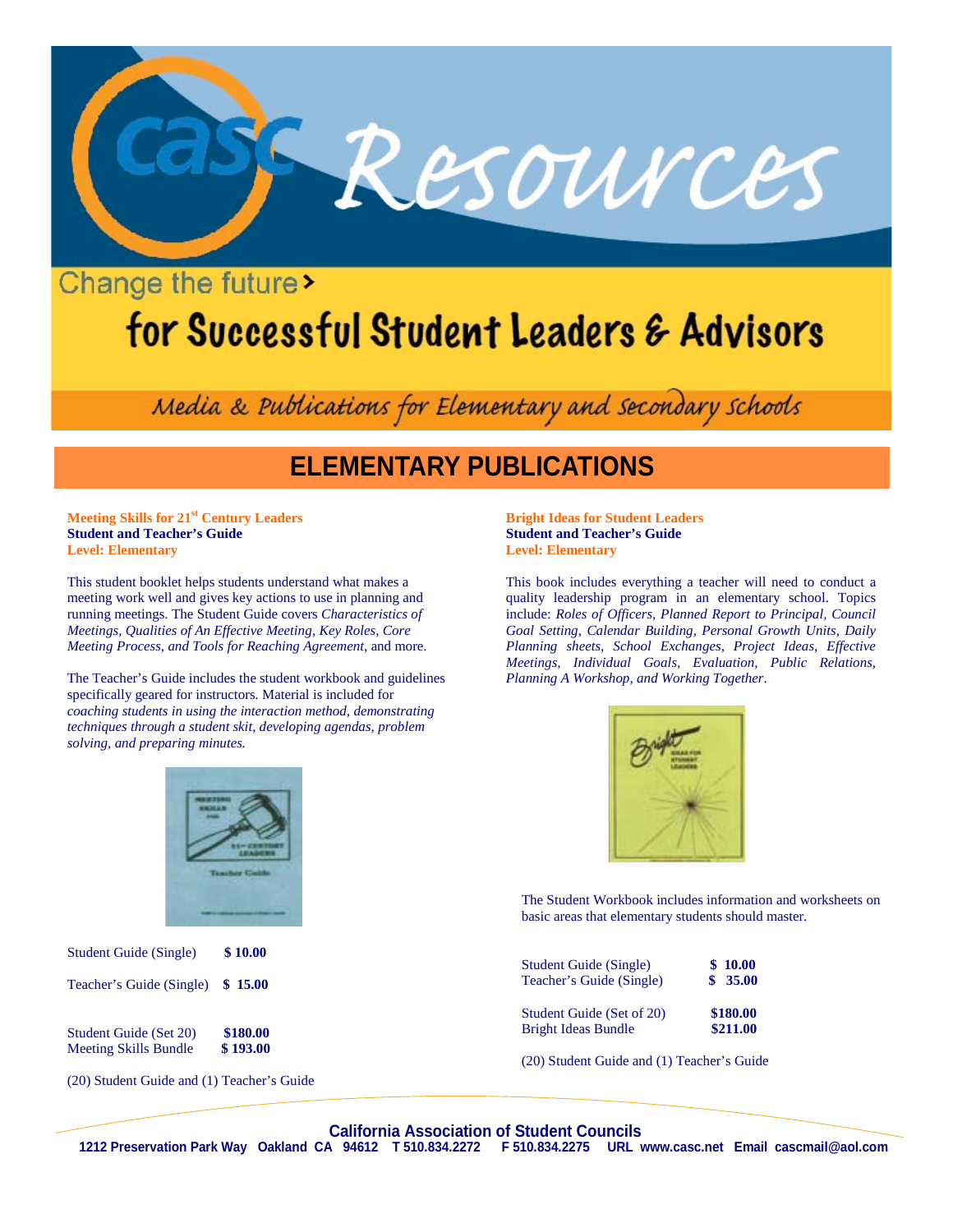

## Change the future

# for Successful Student Leaders & Advisors

Media & Publications for Elementary and secondary schools

## **ELEMENTARY PUBLICATIONS**

**Meeting Skills for 21st Century Leaders Student and Teacher's Guide Level: Elementary**

This student booklet helps students understand what makes a meeting work well and gives key actions to use in planning and running meetings. The Student Guide covers *Characteristics of Meetings, Qualities of An Effective Meeting, Key Roles, Core Meeting Process, and Tools for Reaching Agreement,* and more.

The Teacher's Guide includes the student workbook and guidelines specifically geared for instructors. Material is included for *coaching students in using the interaction method, demonstrating techniques through a student skit, developing agendas, problem solving, and preparing minutes.*

#### **Bright Ideas for Student Leaders Student and Teacher's Guide Level: Elementary**

This book includes everything a teacher will need to conduct a quality leadership program in an elementary school. Topics include: *Roles of Officers, Planned Report to Principal, Council Goal Setting, Calendar Building, Personal Growth Units, Daily Planning sheets, School Exchanges, Project Ideas, Effective Meetings, Individual Goals, Evaluation, Public Relations, Planning A Workshop, and Working Together*.



The Student Workbook includes information and worksheets on basic areas that elementary students should master.

| <b>Student Guide (Single)</b> | \$10.00  |
|-------------------------------|----------|
| Teacher's Guide (Single)      | \$35.00  |
| Student Guide (Set of 20)     | \$180.00 |
| <b>Bright Ideas Bundle</b>    | \$211.00 |

(20) Student Guide and (1) Teacher's Guide



Student Guide (Set 20) **\$180.00**<br>Meeting Skills Bundle **\$193.00 Meeting Skills Bundle** 

(20) Student Guide and (1) Teacher's Guide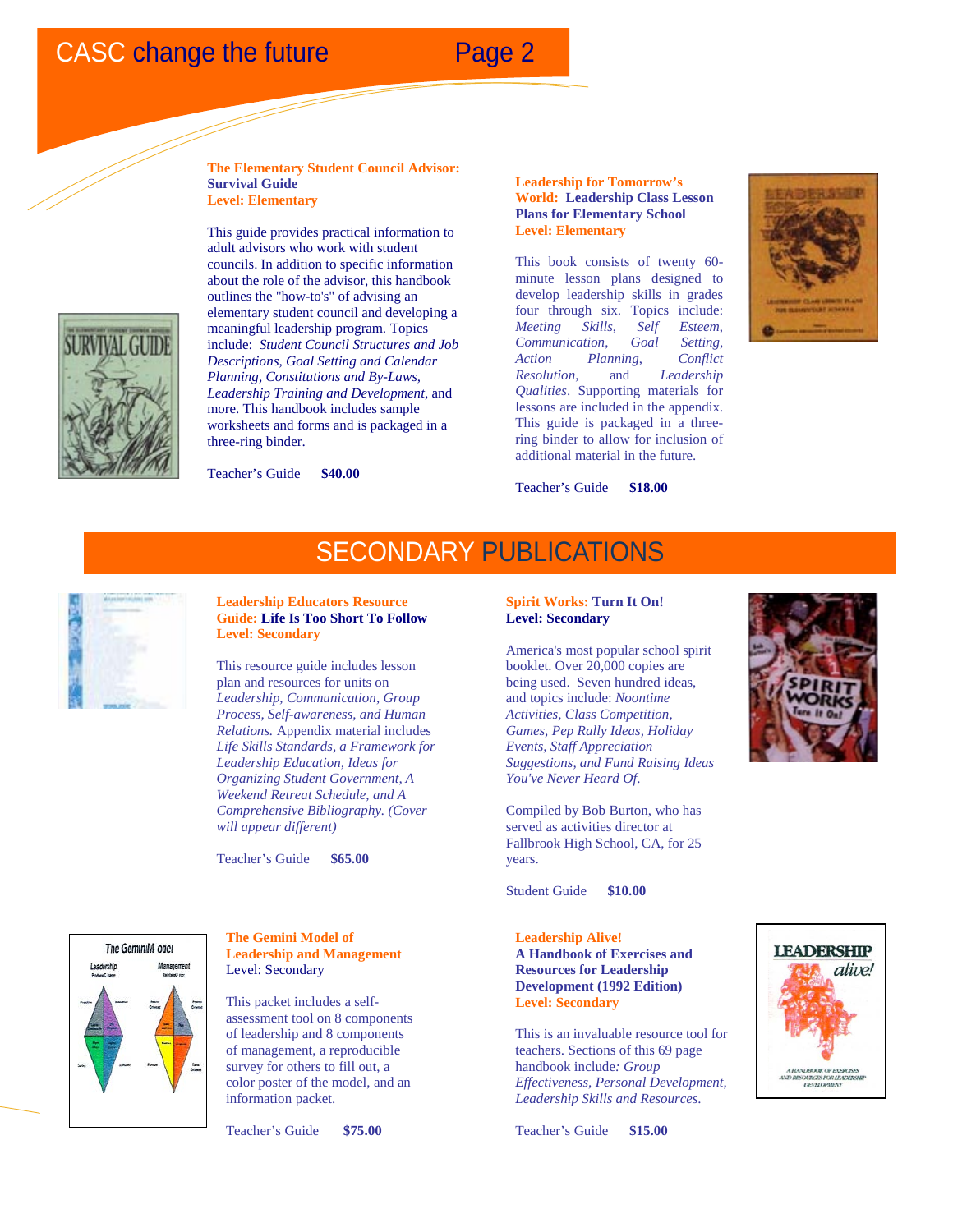

**The Elementary Student Council Advisor: Survival Guide Level: Elementary**



This guide provides practical information to adult advisors who work with student councils. In addition to specific information about the role of the advisor, this handbook outlines the "how-to's" of advising an elementary student council and developing a meaningful leadership program. Topics include: *Student Council Structures and Job Descriptions, Goal Setting and Calendar Planning, Constitutions and By-Laws, Leadership Training and Development*, and more. This handbook includes sample worksheets and forms and is packaged in a three-ring binder.



Teacher's Guide **\$40.00** 

**Leadership for Tomorrow's World: Leadership Class Lesson Plans for Elementary School Level: Elementary**

This book consists of twenty 60 minute lesson plans designed to develop leadership skills in grades four through six. Topics include: *Meeting Skills*, *Self Esteem*, *Communication*, *Goal Setting*, *Action Planning*, *Conflict Resolution*, and *Leadership Qualities*. Supporting materials for lessons are included in the appendix. This guide is packaged in a threering binder to allow for inclusion of additional material in the future.



Teacher's Guide **\$18.00** 

#### **Leadership Educators Resource Guide: Life Is Too Short To Follow Level: Secondary**

This resource guide includes lesson plan and resources for units on *Leadership, Communication, Group Process, Self-awareness, and Human Relations.* Appendix material includes *Life Skills Standards, a Framework for Leadership Education, Ideas for Organizing Student Government, A Weekend Retreat Schedule, and A Comprehensive Bibliography. (Cover will appear different)*

Teacher's Guide **\$65.00**

#### **Spirit Works: Turn It On! Level: Secondary**

į

SECONDARY PUBLICATIONS

America's most popular school spirit booklet. Over 20,000 copies are being used. Seven hundred ideas, and topics include: *Noontime Activities, Class Competition, Games, Pep Rally Ideas, Holiday Events, Staff Appreciation Suggestions, and Fund Raising Ideas You've Never Heard Of*.

Compiled by Bob Burton, who has served as activities director at Fallbrook High School, CA, for 25 years.

Student Guide **\$10.00** 

**Leadership Alive! A Handbook of Exercises and Resources for Leadership Development (1992 Edition) Level: Secondary**

This is an invaluable resource tool for teachers. Sections of this 69 page handbook include*: Group Effectiveness, Personal Development, Leadership Skills and Resources*.

Teacher's Guide **\$15.00** 



**LEADERSHIP** 

HANDBOOK OF EXERCISES<br>RESOURCES FOR LEADERSHI<br>DEVELOPMENT

alive!



#### **The Gemini Model of Leadership and Management** Level: Secondary

This packet includes a selfassessment tool on 8 components of leadership and 8 components of management, a reproducible survey for others to fill out, a color poster of the model, and an information packet.

Teacher's Guide **\$75.00**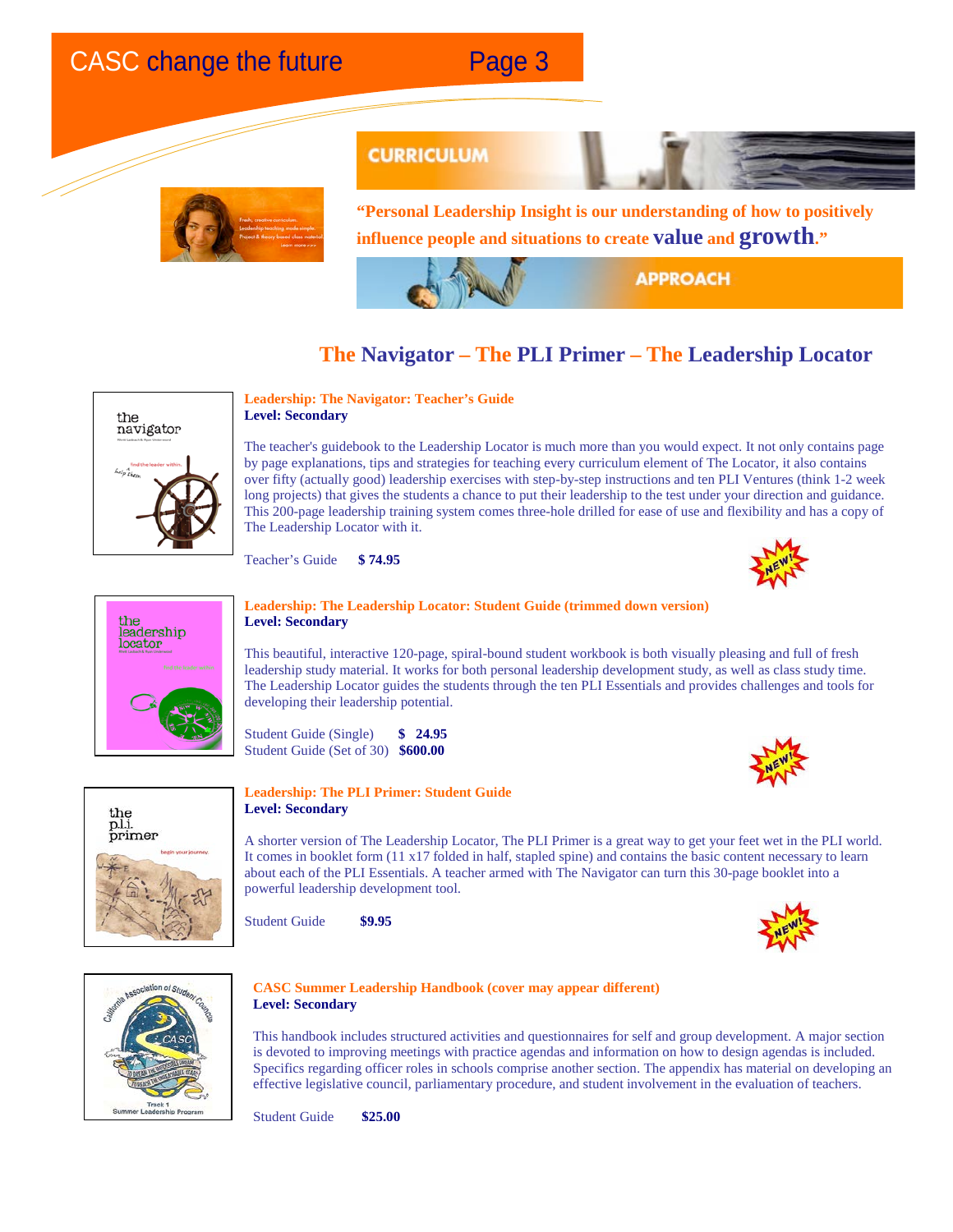

### **CURRICULUM**

**"Personal Leadership Insight is our understanding of how to positively influence people and situations to create value and growth."**

**APPROACH** 

### **The Navigator – The PLI Primer – The Leadership Locator**



#### **Leadership: The Navigator: Teacher's Guide Level: Secondary**

The teacher's guidebook to the Leadership Locator is much more than you would expect. It not only contains page by page explanations, tips and strategies for teaching every curriculum element of The Locator, it also contains over fifty (actually good) leadership exercises with step-by-step instructions and ten PLI Ventures (think 1-2 week long projects) that gives the students a chance to put their leadership to the test under your direction and guidance. This 200-page leadership training system comes three-hole drilled for ease of use and flexibility and has a copy of The Leadership Locator with it.

Teacher's Guide **\$ 74.95**





#### **Leadership: The Leadership Locator: Student Guide (trimmed down version) Level: Secondary**

This beautiful, interactive 120-page, spiral-bound student workbook is both visually pleasing and full of fresh leadership study material. It works for both personal leadership development study, as well as class study time. The Leadership Locator guides the students through the ten PLI Essentials and provides challenges and tools for developing their leadership potential.

Student Guide (Single) **\$ 24.95** Student Guide (Set of 30) **\$600.00**





#### **Leadership: The PLI Primer: Student Guide Level: Secondary**

A shorter version of The Leadership Locator, The PLI Primer is a great way to get your feet wet in the PLI world. It comes in booklet form (11 x17 folded in half, stapled spine) and contains the basic content necessary to learn about each of the PLI Essentials. A teacher armed with The Navigator can turn this 30-page booklet into a powerful leadership development tool.

Student Guide **\$9.95**





#### **CASC Summer Leadership Handbook (cover may appear different) Level: Secondary**

This handbook includes structured activities and questionnaires for self and group development. A major section is devoted to improving meetings with practice agendas and information on how to design agendas is included. Specifics regarding officer roles in schools comprise another section. The appendix has material on developing an effective legislative council, parliamentary procedure, and student involvement in the evaluation of teachers.

Student Guide **\$25.00**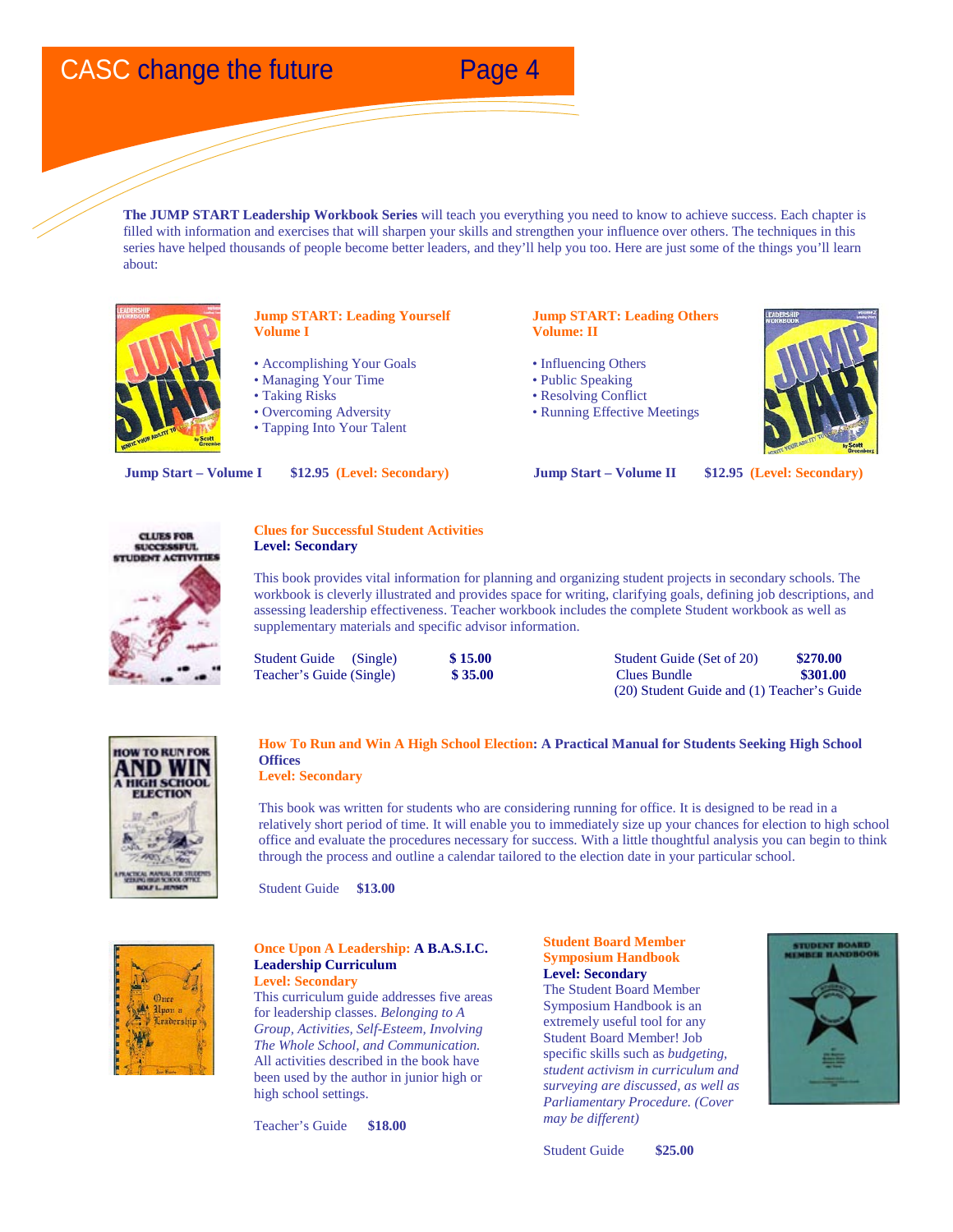**The JUMP START Leadership Workbook Series** will teach you everything you need to know to achieve success. Each chapter is filled with information and exercises that will sharpen your skills and strengthen your influence over others. The techniques in this series have helped thousands of people become better leaders, and they'll help you too. Here are just some of the things you'll learn about:



#### **Jump START: Leading Yourself Volume I**

- Accomplishing Your Goals
- Managing Your Time
- Taking Risks
- Overcoming Adversity
- Tapping Into Your Talent

#### **Jump START: Leading Others Volume: II**

- Influencing Others
- Public Speaking
- Resolving Conflict
- Running Effective Meetings



**Jump Start – Volume I \$12.95 (Level: Secondary) Jump Start – Volume II \$12.95 (Level: Secondary)**



#### **Clues for Successful Student Activities Level: Secondary**

This book provides vital information for planning and organizing student projects in secondary schools. The workbook is cleverly illustrated and provides space for writing, clarifying goals, defining job descriptions, and assessing leadership effectiveness. Teacher workbook includes the complete Student workbook as well as supplementary materials and specific advisor information.

Student Guide (Single) **\$ 15.00** Student Guide (Set of 20) **\$270.00**<br>
Teacher's Guide (Single) **\$ 35.00** Sundle **\$301.00**  $Teacher's Guide (Single)$ (20) Student Guide and (1) Teacher's Guide



#### **How To Run and Win A High School Election: A Practical Manual for Students Seeking High School Offices Level: Secondary**

This book was written for students who are considering running for office. It is designed to be read in a relatively short period of time. It will enable you to immediately size up your chances for election to high school office and evaluate the procedures necessary for success. With a little thoughtful analysis you can begin to think through the process and outline a calendar tailored to the election date in your particular school.

Student Guide **\$13.00**



#### **Once Upon A Leadership: A B.A.S.I.C. Leadership Curriculum Level: Secondary**

This curriculum guide addresses five areas for leadership classes. *Belonging to A Group, Activities, Self-Esteem, Involving The Whole School, and Communication.* All activities described in the book have been used by the author in junior high or high school settings.

Teacher's Guide **\$18.00** 

**Student Board Member Symposium Handbook Level: Secondary** The Student Board Member

Symposium Handbook is an extremely useful tool for any Student Board Member! Job specific skills such as *budgeting, student activism in curriculum and surveying are discussed, as well as Parliamentary Procedure. (Cover may be different)*



Student Guide **\$25.00**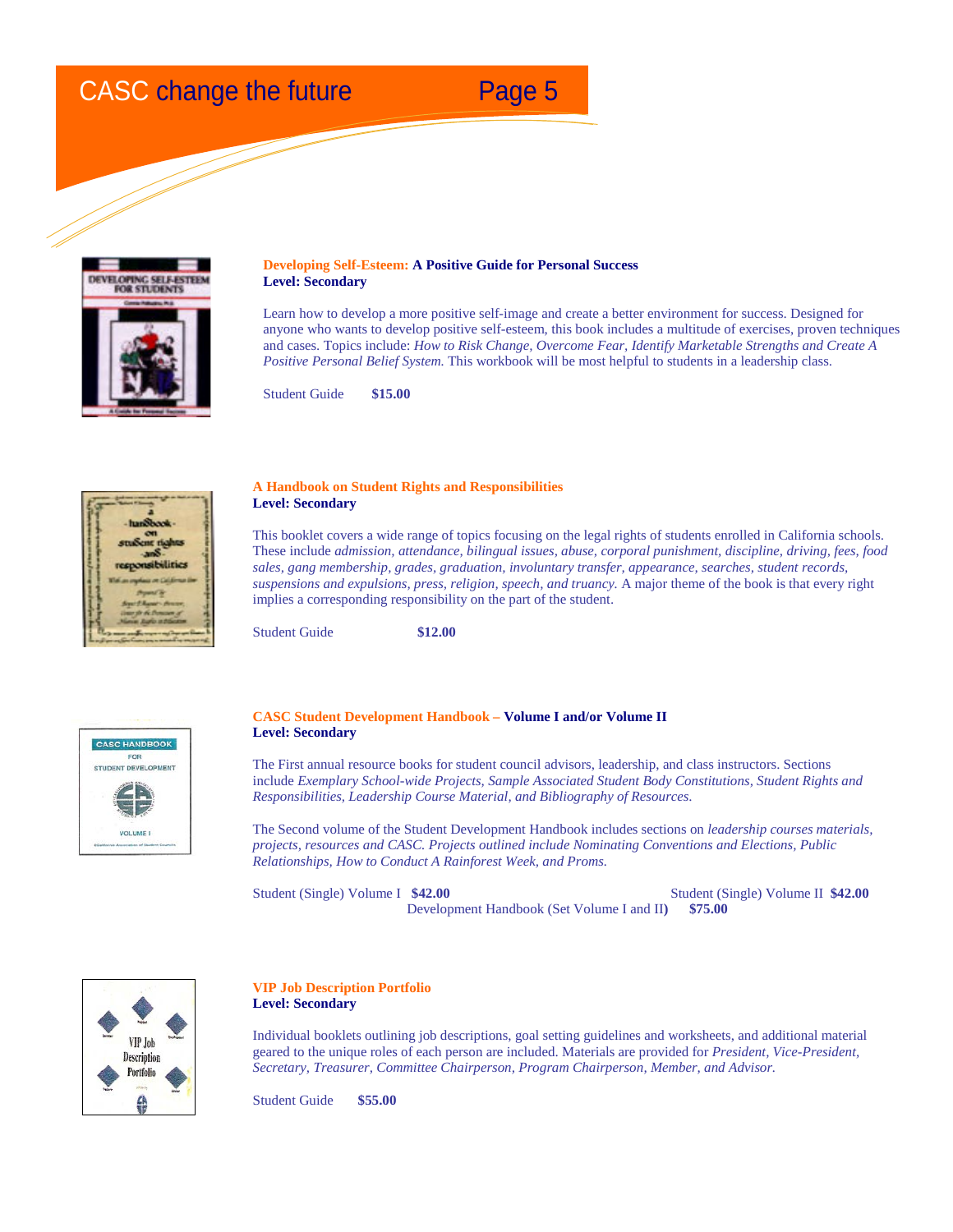

#### **Developing Self-Esteem: A Positive Guide for Personal Success Level: Secondary**

Learn how to develop a more positive self-image and create a better environment for success. Designed for anyone who wants to develop positive self-esteem, this book includes a multitude of exercises, proven techniques and cases. Topics include: *How to Risk Change, Overcome Fear, Identify Marketable Strengths and Create A Positive Personal Belief System.* This workbook will be most helpful to students in a leadership class.

Student Guide **\$15.00**



#### **A Handbook on Student Rights and Responsibilities Level: Secondary**

This booklet covers a wide range of topics focusing on the legal rights of students enrolled in California schools. These include *admission, attendance, bilingual issues, abuse, corporal punishment, discipline, driving, fees, food sales, gang membership, grades, graduation, involuntary transfer, appearance, searches, student records, suspensions and expulsions, press, religion, speech, and truancy.* A major theme of the book is that every right implies a corresponding responsibility on the part of the student.

Student Guide **\$12.00** 



#### **CASC Student Development Handbook – Volume I and/or Volume II Level: Secondary**

The First annual resource books for student council advisors, leadership, and class instructors. Sections include *Exemplary School-wide Projects, Sample Associated Student Body Constitutions, Student Rights and Responsibilities, Leadership Course Material, and Bibliography of Resources*.

The Second volume of the Student Development Handbook includes sections on *leadership courses materials, projects, resources and CASC. Projects outlined include Nominating Conventions and Elections, Public Relationships, How to Conduct A Rainforest Week, and Proms.*

Student (Single) Volume I **\$42.00** Student (Single) Volume II **\$42.00** Development Handbook (Set Volume I and II**) \$75.00**



#### **VIP Job Description Portfolio Level: Secondary**

Individual booklets outlining job descriptions, goal setting guidelines and worksheets, and additional material geared to the unique roles of each person are included. Materials are provided for *President, Vice-President, Secretary, Treasurer, Committee Chairperson, Program Chairperson, Member, and Advisor.*

Student Guide **\$55.00**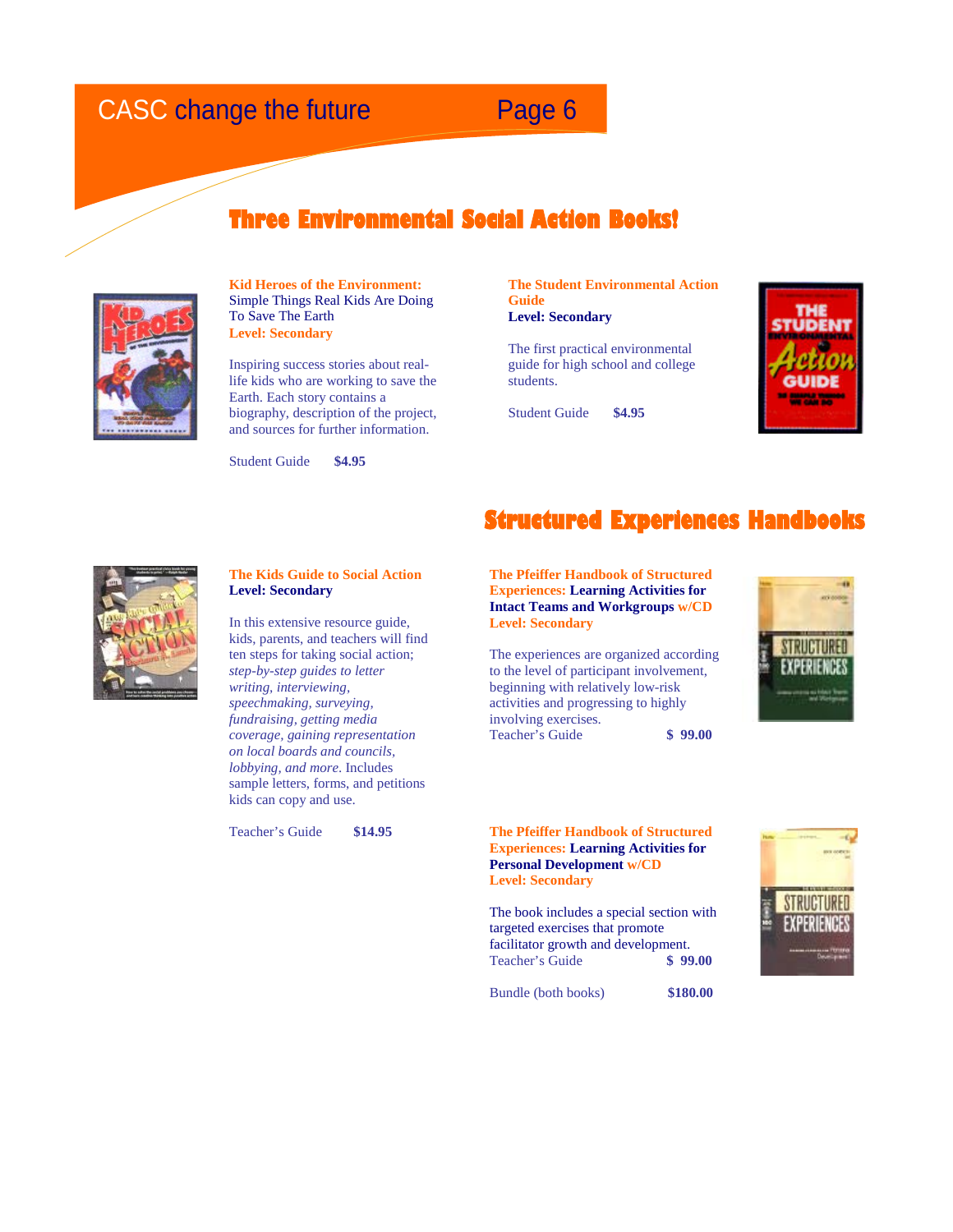### **Three Environmental Social Action Books!**



**Kid Heroes of the Environment:** Simple Things Real Kids Are Doing To Save The Earth **Level: Secondary**

Inspiring success stories about reallife kids who are working to save the Earth. Each story contains a biography, description of the project, and sources for further information.

Student Guide **\$4.95**

**The Student Environmental Action Guide Level: Secondary**

The first practical environmental guide for high school and college students.

Student Guide **\$4.95**





#### **The Kids Guide to Social Action Level: Secondary**

In this extensive resource guide, kids, parents, and teachers will find ten steps for taking social action; *step-by-step guides to letter writing, interviewing, speechmaking, surveying, fundraising, getting media coverage, gaining representation on local boards and councils, lobbying, and more*. Includes sample letters, forms, and petitions kids can copy and use.

Teacher's Guide **\$14.95**

**Structured Experiences Handbooks** 

### **The Pfeiffer Handbook of Structured Experiences: Learning Activities for Intact Teams and Workgroups w/CD Level: Secondary**

The experiences are organized according to the level of participant involvement, beginning with relatively low-risk activities and progressing to highly involving exercises. Teacher's Guide **\$ 99.00**



#### **The Pfeiffer Handbook of Structured Experiences: Learning Activities for Personal Development w/CD Level: Secondary**

The book includes a special section with targeted exercises that promote facilitator growth and development.<br>Teacher's Guide \$99.00 **Teacher's Guide** 

Bundle (both books) **\$180.00**

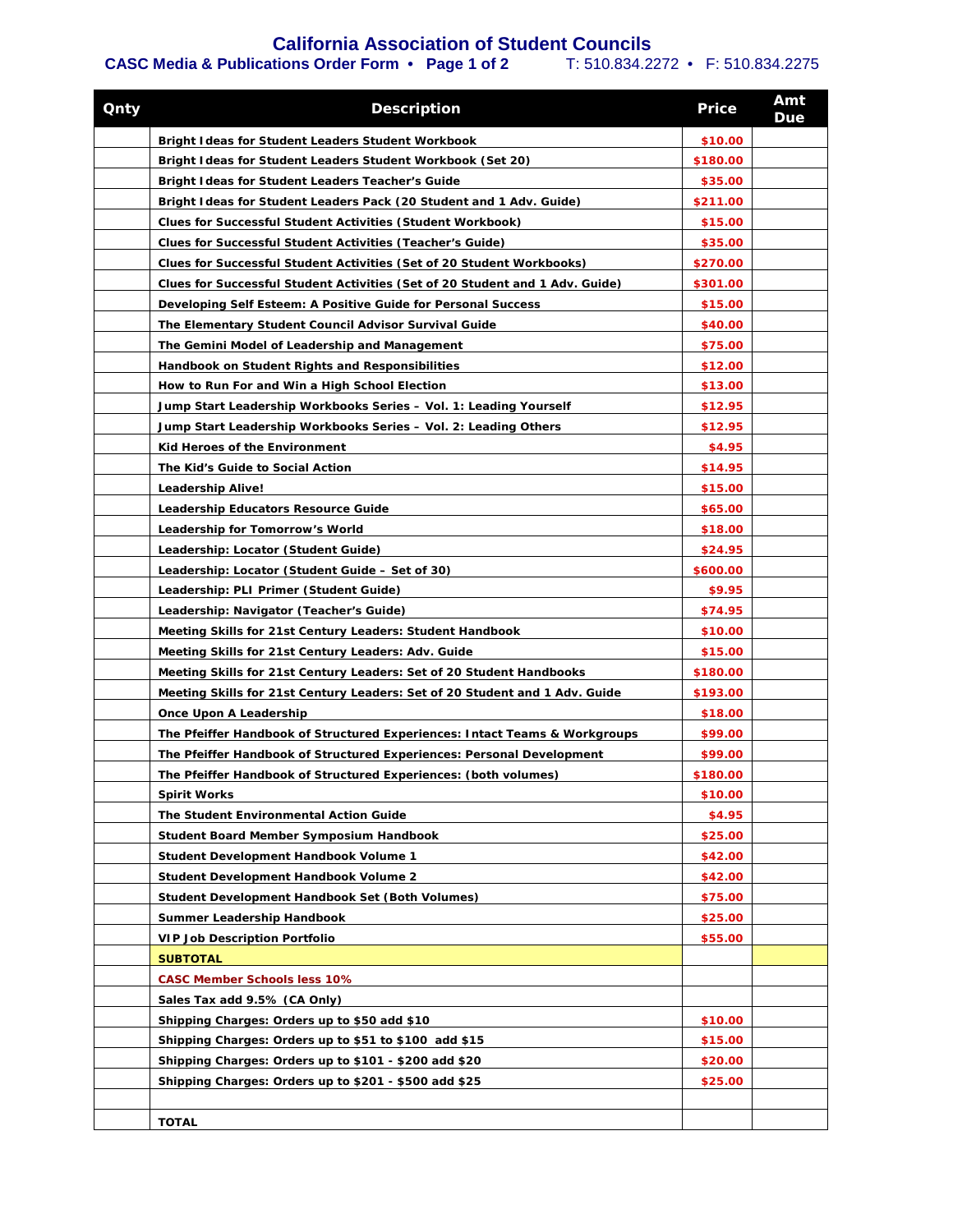### **California Association of Student Councils**

### **CASC Media & Publications Order Form • Page 1 of 2** T: 510.834.2272 • F: 510.834.2275

| <b>Qnty</b> | <b>Description</b>                                                           | <b>Price</b> | Amt<br>Due |
|-------------|------------------------------------------------------------------------------|--------------|------------|
|             | Bright I deas for Student Leaders Student Workbook                           | \$10.00      |            |
|             | Bright I deas for Student Leaders Student Workbook (Set 20)                  | \$180.00     |            |
|             | Bright I deas for Student Leaders Teacher's Guide                            | \$35.00      |            |
|             | Bright I deas for Student Leaders Pack (20 Student and 1 Adv. Guide)         | \$211.00     |            |
|             | <b>Clues for Successful Student Activities (Student Workbook)</b>            | \$15.00      |            |
|             | Clues for Successful Student Activities (Teacher's Guide)                    | \$35.00      |            |
|             | Clues for Successful Student Activities (Set of 20 Student Workbooks)        | \$270.00     |            |
|             | Clues for Successful Student Activities (Set of 20 Student and 1 Adv. Guide) | \$301.00     |            |
|             | Developing Self Esteem: A Positive Guide for Personal Success                | \$15.00      |            |
|             | The Elementary Student Council Advisor Survival Guide                        | \$40.00      |            |
|             | The Gemini Model of Leadership and Management                                | \$75.00      |            |
|             | Handbook on Student Rights and Responsibilities                              | \$12.00      |            |
|             | How to Run For and Win a High School Election                                | \$13.00      |            |
|             | Jump Start Leadership Workbooks Series - Vol. 1: Leading Yourself            | \$12.95      |            |
|             | Jump Start Leadership Workbooks Series - Vol. 2: Leading Others              | \$12.95      |            |
|             | Kid Heroes of the Environment                                                | \$4.95       |            |
|             | The Kid's Guide to Social Action                                             | \$14.95      |            |
|             | <b>Leadership Alive!</b>                                                     | \$15.00      |            |
|             | Leadership Educators Resource Guide                                          | \$65.00      |            |
|             | Leadership for Tomorrow's World                                              | \$18.00      |            |
|             | Leadership: Locator (Student Guide)                                          | \$24.95      |            |
|             | Leadership: Locator (Student Guide – Set of 30)                              | \$600.00     |            |
|             | Leadership: PLI Primer (Student Guide)                                       | \$9.95       |            |
|             | Leadership: Navigator (Teacher's Guide)                                      | \$74.95      |            |
|             | Meeting Skills for 21st Century Leaders: Student Handbook                    | \$10.00      |            |
|             | Meeting Skills for 21st Century Leaders: Adv. Guide                          | \$15.00      |            |
|             | Meeting Skills for 21st Century Leaders: Set of 20 Student Handbooks         | \$180.00     |            |
|             | Meeting Skills for 21st Century Leaders: Set of 20 Student and 1 Adv. Guide  | \$193.00     |            |
|             | Once Upon A Leadership                                                       | \$18.00      |            |
|             | The Pfeiffer Handbook of Structured Experiences: Intact Teams & Workgroups   | \$99.00      |            |
|             | The Pfeiffer Handbook of Structured Experiences: Personal Development        | \$99.00      |            |
|             | The Pfeiffer Handbook of Structured Experiences: (both volumes)              | \$180.00     |            |
|             | <b>Spirit Works</b>                                                          | \$10.00      |            |
|             | The Student Environmental Action Guide                                       | \$4.95       |            |
|             | <b>Student Board Member Symposium Handbook</b>                               | \$25.00      |            |
|             | Student Development Handbook Volume 1                                        | \$42.00      |            |
|             | Student Development Handbook Volume 2                                        | \$42.00      |            |
|             | Student Development Handbook Set (Both Volumes)                              | \$75.00      |            |
|             | Summer Leadership Handbook                                                   | \$25.00      |            |
|             | <b>VIP Job Description Portfolio</b>                                         | \$55.00      |            |
|             | <b>SUBTOTAL</b>                                                              |              |            |
|             | <b>CASC Member Schools less 10%</b>                                          |              |            |
|             | Sales Tax add 9.5% (CA Only)                                                 |              |            |
|             |                                                                              |              |            |
|             | Shipping Charges: Orders up to \$50 add \$10                                 | \$10.00      |            |
|             | Shipping Charges: Orders up to \$51 to \$100 add \$15                        | \$15.00      |            |
|             | Shipping Charges: Orders up to \$101 - \$200 add \$20                        | \$20.00      |            |
|             | Shipping Charges: Orders up to \$201 - \$500 add \$25                        | \$25.00      |            |
|             |                                                                              |              |            |
|             | <b>TOTAL</b>                                                                 |              |            |